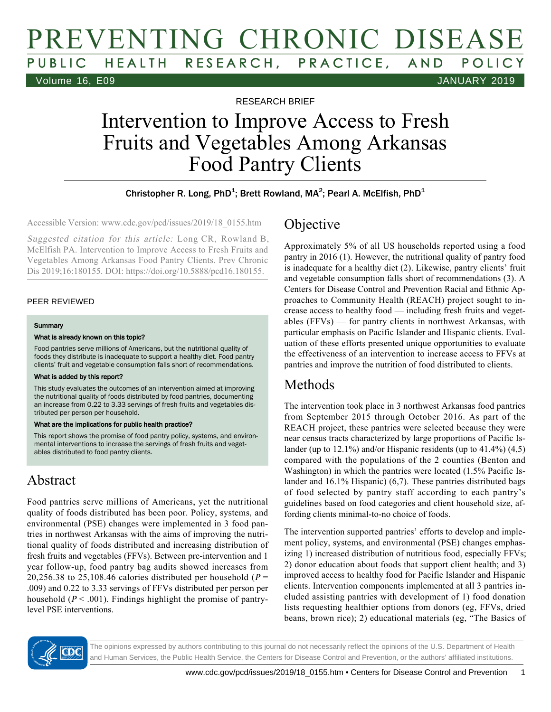# PREVENTING CHRONIC DISEASE PUBLIC HEALTH RESEARCH, PRACTICE, AND POLICY Volume 16, E09 JANUARY 2019

RESEARCH BRIEF

# Intervention to Improve Access to Fresh Fruits and Vegetables Among Arkansas Food Pantry Clients

### Christopher R. Long, PhD<sup>1</sup>; Brett Rowland, MA<sup>2</sup>; Pearl A. McElfish, PhD<sup>1</sup>

Accessible Version: www.cdc.gov/pcd/issues/2019/18\_0155.htm

Suggested citation for this article: Long CR, Rowland B, McElfish PA. Intervention to Improve Access to Fresh Fruits and Vegetables Among Arkansas Food Pantry Clients. Prev Chronic Dis 2019;16:180155. DOI: https://doi.org/10.5888/pcd16.180155.

### PEER REVIEWED

#### **Summary**

#### What is already known on this topic?

Food pantries serve millions of Americans, but the nutritional quality of foods they distribute is inadequate to support a healthy diet. Food pantry clients' fruit and vegetable consumption falls short of recommendations.

#### What is added by this report?

This study evaluates the outcomes of an intervention aimed at improving the nutritional quality of foods distributed by food pantries, documenting an increase from 0.22 to 3.33 servings of fresh fruits and vegetables distributed per person per household.

#### What are the implications for public health practice?

This report shows the promise of food pantry policy, systems, and environmental interventions to increase the servings of fresh fruits and vegetables distributed to food pantry clients.

### Abstract

Food pantries serve millions of Americans, yet the nutritional quality of foods distributed has been poor. Policy, systems, and environmental (PSE) changes were implemented in 3 food pantries in northwest Arkansas with the aims of improving the nutritional quality of foods distributed and increasing distribution of fresh fruits and vegetables (FFVs). Between pre-intervention and 1 year follow-up, food pantry bag audits showed increases from 20,256.38 to 25,108.46 calories distributed per household ( $P =$ .009) and 0.22 to 3.33 servings of FFVs distributed per person per household ( $P < .001$ ). Findings highlight the promise of pantrylevel PSE interventions.

## Objective

Approximately 5% of all US households reported using a food pantry in 2016 (1). However, the nutritional quality of pantry food is inadequate for a healthy diet (2). Likewise, pantry clients' fruit and vegetable consumption falls short of recommendations (3). A Centers for Disease Control and Prevention Racial and Ethnic Approaches to Community Health (REACH) project sought to increase access to healthy food — including fresh fruits and vegetables (FFVs) — for pantry clients in northwest Arkansas, with particular emphasis on Pacific Islander and Hispanic clients. Evaluation of these efforts presented unique opportunities to evaluate the effectiveness of an intervention to increase access to FFVs at pantries and improve the nutrition of food distributed to clients.

### Methods

The intervention took place in 3 northwest Arkansas food pantries from September 2015 through October 2016. As part of the REACH project, these pantries were selected because they were near census tracts characterized by large proportions of Pacific Islander (up to 12.1%) and/or Hispanic residents (up to 41.4%) (4,5) compared with the populations of the 2 counties (Benton and Washington) in which the pantries were located (1.5% Pacific Islander and 16.1% Hispanic) (6,7). These pantries distributed bags of food selected by pantry staff according to each pantry's guidelines based on food categories and client household size, affording clients minimal-to-no choice of foods.

The intervention supported pantries' efforts to develop and implement policy, systems, and environmental (PSE) changes emphasizing 1) increased distribution of nutritious food, especially FFVs; 2) donor education about foods that support client health; and 3) improved access to healthy food for Pacific Islander and Hispanic clients. Intervention components implemented at all 3 pantries included assisting pantries with development of 1) food donation lists requesting healthier options from donors (eg, FFVs, dried beans, brown rice); 2) educational materials (eg, "The Basics of

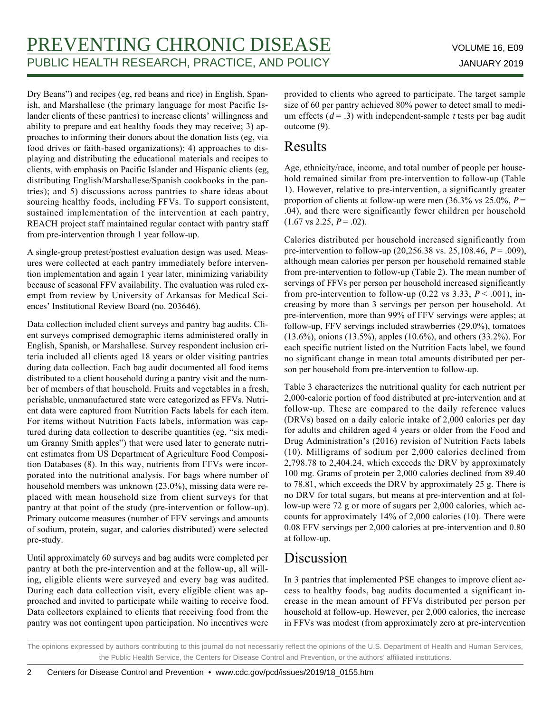Dry Beans") and recipes (eg, red beans and rice) in English, Spanish, and Marshallese (the primary language for most Pacific Islander clients of these pantries) to increase clients' willingness and ability to prepare and eat healthy foods they may receive; 3) approaches to informing their donors about the donation lists (eg, via food drives or faith-based organizations); 4) approaches to displaying and distributing the educational materials and recipes to clients, with emphasis on Pacific Islander and Hispanic clients (eg, distributing English/Marshallese/Spanish cookbooks in the pantries); and 5) discussions across pantries to share ideas about sourcing healthy foods, including FFVs. To support consistent, sustained implementation of the intervention at each pantry, REACH project staff maintained regular contact with pantry staff from pre-intervention through 1 year follow-up.

A single-group pretest/posttest evaluation design was used. Measures were collected at each pantry immediately before intervention implementation and again 1 year later, minimizing variability because of seasonal FFV availability. The evaluation was ruled exempt from review by University of Arkansas for Medical Sciences' Institutional Review Board (no. 203646).

Data collection included client surveys and pantry bag audits. Client surveys comprised demographic items administered orally in English, Spanish, or Marshallese. Survey respondent inclusion criteria included all clients aged 18 years or older visiting pantries during data collection. Each bag audit documented all food items distributed to a client household during a pantry visit and the number of members of that household. Fruits and vegetables in a fresh, perishable, unmanufactured state were categorized as FFVs. Nutrient data were captured from Nutrition Facts labels for each item. For items without Nutrition Facts labels, information was captured during data collection to describe quantities (eg, "six medium Granny Smith apples") that were used later to generate nutrient estimates from US Department of Agriculture Food Composition Databases (8). In this way, nutrients from FFVs were incorporated into the nutritional analysis. For bags where number of household members was unknown (23.0%), missing data were replaced with mean household size from client surveys for that pantry at that point of the study (pre-intervention or follow-up). Primary outcome measures (number of FFV servings and amounts of sodium, protein, sugar, and calories distributed) were selected pre-study.

Until approximately 60 surveys and bag audits were completed per pantry at both the pre-intervention and at the follow-up, all willing, eligible clients were surveyed and every bag was audited. During each data collection visit, every eligible client was approached and invited to participate while waiting to receive food. Data collectors explained to clients that receiving food from the pantry was not contingent upon participation. No incentives were

provided to clients who agreed to participate. The target sample size of 60 per pantry achieved 80% power to detect small to medium effects ( $d = .3$ ) with independent-sample t tests per bag audit outcome (9).

### Results

Age, ethnicity/race, income, and total number of people per household remained similar from pre-intervention to follow-up (Table 1). However, relative to pre-intervention, a significantly greater proportion of clients at follow-up were men (36.3% vs 25.0%,  $P =$ .04), and there were significantly fewer children per household  $(1.67 \text{ vs } 2.25, P = .02).$ 

Calories distributed per household increased significantly from pre-intervention to follow-up  $(20, 256.38 \text{ vs. } 25, 108.46, P = .009)$ , although mean calories per person per household remained stable from pre-intervention to follow-up (Table 2). The mean number of servings of FFVs per person per household increased significantly from pre-intervention to follow-up (0.22 vs 3.33,  $P < .001$ ), increasing by more than 3 servings per person per household. At pre-intervention, more than 99% of FFV servings were apples; at follow-up, FFV servings included strawberries (29.0%), tomatoes (13.6%), onions (13.5%), apples (10.6%), and others (33.2%). For each specific nutrient listed on the Nutrition Facts label, we found no significant change in mean total amounts distributed per person per household from pre-intervention to follow-up.

Table 3 characterizes the nutritional quality for each nutrient per 2,000-calorie portion of food distributed at pre-intervention and at follow-up. These are compared to the daily reference values (DRVs) based on a daily caloric intake of 2,000 calories per day for adults and children aged 4 years or older from the Food and Drug Administration's (2016) revision of Nutrition Facts labels (10). Milligrams of sodium per 2,000 calories declined from 2,798.78 to 2,404.24, which exceeds the DRV by approximately 100 mg. Grams of protein per 2,000 calories declined from 89.40 to 78.81, which exceeds the DRV by approximately 25 g. There is no DRV for total sugars, but means at pre-intervention and at follow-up were 72 g or more of sugars per 2,000 calories, which accounts for approximately 14% of 2,000 calories (10). There were 0.08 FFV servings per 2,000 calories at pre-intervention and 0.80 at follow-up.

# Discussion

In 3 pantries that implemented PSE changes to improve client access to healthy foods, bag audits documented a significant increase in the mean amount of FFVs distributed per person per household at follow-up. However, per 2,000 calories, the increase in FFVs was modest (from approximately zero at pre-intervention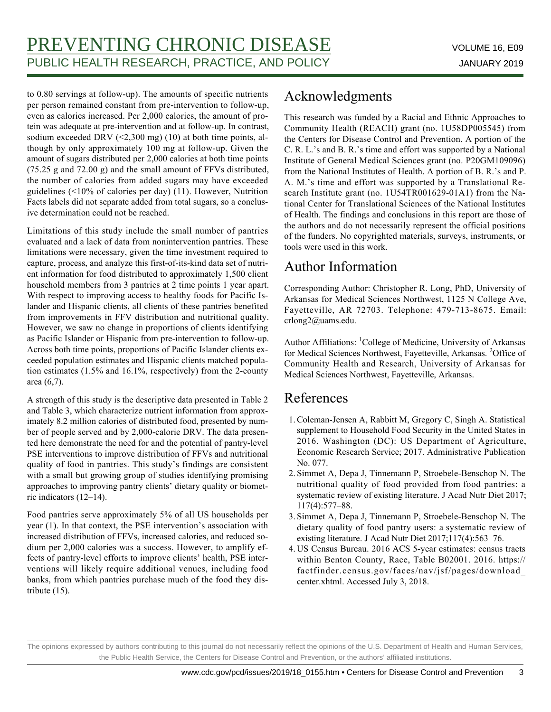to 0.80 servings at follow-up). The amounts of specific nutrients per person remained constant from pre-intervention to follow-up, even as calories increased. Per 2,000 calories, the amount of protein was adequate at pre-intervention and at follow-up. In contrast, sodium exceeded DRV  $(\leq 2,300 \text{ mg})$  (10) at both time points, although by only approximately 100 mg at follow-up. Given the amount of sugars distributed per 2,000 calories at both time points (75.25 g and 72.00 g) and the small amount of FFVs distributed, the number of calories from added sugars may have exceeded guidelines (<10% of calories per day) (11). However, Nutrition Facts labels did not separate added from total sugars, so a conclusive determination could not be reached.

Limitations of this study include the small number of pantries evaluated and a lack of data from nonintervention pantries. These limitations were necessary, given the time investment required to capture, process, and analyze this first-of-its-kind data set of nutrient information for food distributed to approximately 1,500 client household members from 3 pantries at 2 time points 1 year apart. With respect to improving access to healthy foods for Pacific Islander and Hispanic clients, all clients of these pantries benefited from improvements in FFV distribution and nutritional quality. However, we saw no change in proportions of clients identifying as Pacific Islander or Hispanic from pre-intervention to follow-up. Across both time points, proportions of Pacific Islander clients exceeded population estimates and Hispanic clients matched population estimates (1.5% and 16.1%, respectively) from the 2-county area (6,7).

A strength of this study is the descriptive data presented in Table 2 and Table 3, which characterize nutrient information from approximately 8.2 million calories of distributed food, presented by number of people served and by 2,000-calorie DRV. The data presented here demonstrate the need for and the potential of pantry-level PSE interventions to improve distribution of FFVs and nutritional quality of food in pantries. This study's findings are consistent with a small but growing group of studies identifying promising approaches to improving pantry clients' dietary quality or biometric indicators (12–14).

Food pantries serve approximately 5% of all US households per year (1). In that context, the PSE intervention's association with increased distribution of FFVs, increased calories, and reduced sodium per 2,000 calories was a success. However, to amplify effects of pantry-level efforts to improve clients' health, PSE interventions will likely require additional venues, including food banks, from which pantries purchase much of the food they distribute (15).

# Acknowledgments

This research was funded by a Racial and Ethnic Approaches to Community Health (REACH) grant (no. 1U58DP005545) from the Centers for Disease Control and Prevention. A portion of the C. R. L.'s and B. R.'s time and effort was supported by a National Institute of General Medical Sciences grant (no. P20GM109096) from the National Institutes of Health. A portion of B. R.'s and P. A. M.'s time and effort was supported by a Translational Research Institute grant (no. 1U54TR001629-01A1) from the National Center for Translational Sciences of the National Institutes of Health. The findings and conclusions in this report are those of the authors and do not necessarily represent the official positions of the funders. No copyrighted materials, surveys, instruments, or tools were used in this work.

# Author Information

Corresponding Author: Christopher R. Long, PhD, University of Arkansas for Medical Sciences Northwest, 1125 N College Ave, Fayetteville, AR 72703. Telephone: 479-713-8675. Email: crlong2@uams.edu.

Author Affiliations: <sup>1</sup>College of Medicine, University of Arkansas for Medical Sciences Northwest, Fayetteville, Arkansas. <sup>2</sup>Office of Community Health and Research, University of Arkansas for Medical Sciences Northwest, Fayetteville, Arkansas.

## References

- 1. Coleman-Jensen A, Rabbitt M, Gregory C, Singh A. Statistical supplement to Household Food Security in the United States in 2016. Washington (DC): US Department of Agriculture, Economic Research Service; 2017. Administrative Publication No. 077.
- 2. Simmet A, Depa J, Tinnemann P, Stroebele-Benschop N. The nutritional quality of food provided from food pantries: a systematic review of existing literature. J Acad Nutr Diet 2017; 117(4):577–88.
- 3. Simmet A, Depa J, Tinnemann P, Stroebele-Benschop N. The dietary quality of food pantry users: a systematic review of existing literature. J Acad Nutr Diet 2017;117(4):563–76.
- US Census Bureau. 2016 ACS 5-year estimates: census tracts 4. within Benton County, Race, Table B02001. 2016. https:// factfinder.census.gov/faces/nav/jsf/pages/download\_ center.xhtml. Accessed July 3, 2018.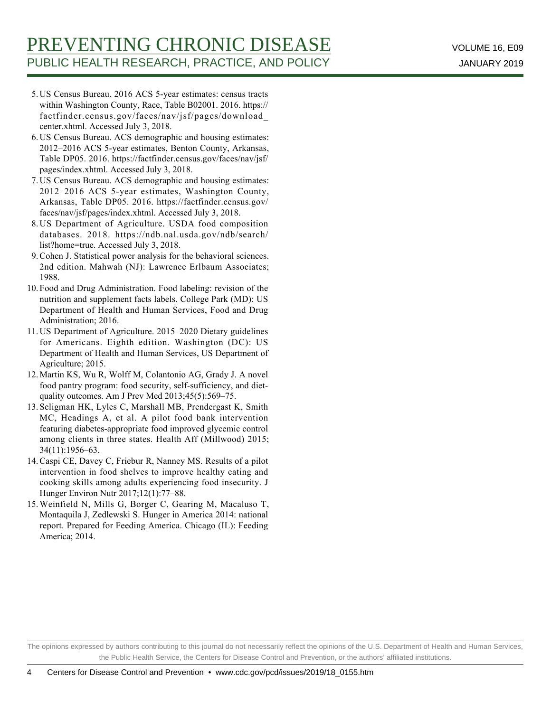- US Census Bureau. 2016 ACS 5-year estimates: census tracts 5. within Washington County, Race, Table B02001. 2016. https:// factfinder.census.gov/faces/nav/jsf/pages/download\_ center.xhtml. Accessed July 3, 2018.
- US Census Bureau. ACS demographic and housing estimates: 6. 2012–2016 ACS 5-year estimates, Benton County, Arkansas, Table DP05. 2016. https://factfinder.census.gov/faces/nav/jsf/ pages/index.xhtml. Accessed July 3, 2018.
- 7. US Census Bureau. ACS demographic and housing estimates: 2012–2016 ACS 5-year estimates, Washington County, Arkansas, Table DP05. 2016. https://factfinder.census.gov/ faces/nav/jsf/pages/index.xhtml. Accessed July 3, 2018.
- US Department of Agriculture. USDA food composition 8. databases. 2018. https://ndb.nal.usda.gov/ndb/search/ list?home=true. Accessed July 3, 2018.
- Cohen J. Statistical power analysis for the behavioral sciences. 9. 2nd edition. Mahwah (NJ): Lawrence Erlbaum Associates; 1988.
- Food and Drug Administration. Food labeling: revision of the 10. nutrition and supplement facts labels. College Park (MD): US Department of Health and Human Services, Food and Drug Administration; 2016.
- 11. US Department of Agriculture. 2015-2020 Dietary guidelines for Americans. Eighth edition. Washington (DC): US Department of Health and Human Services, US Department of Agriculture; 2015.
- 12. Martin KS, Wu R, Wolff M, Colantonio AG, Grady J. A novel food pantry program: food security, self-sufficiency, and dietquality outcomes. Am J Prev Med 2013;45(5):569–75.
- 13. Seligman HK, Lyles C, Marshall MB, Prendergast K, Smith MC, Headings A, et al. A pilot food bank intervention featuring diabetes-appropriate food improved glycemic control among clients in three states. Health Aff (Millwood) 2015; 34(11):1956–63.
- 14. Caspi CE, Davey C, Friebur R, Nanney MS. Results of a pilot intervention in food shelves to improve healthy eating and cooking skills among adults experiencing food insecurity. J Hunger Environ Nutr 2017;12(1):77–88.
- 15. Weinfield N, Mills G, Borger C, Gearing M, Macaluso T, Montaquila J, Zedlewski S. Hunger in America 2014: national report. Prepared for Feeding America. Chicago (IL): Feeding America; 2014.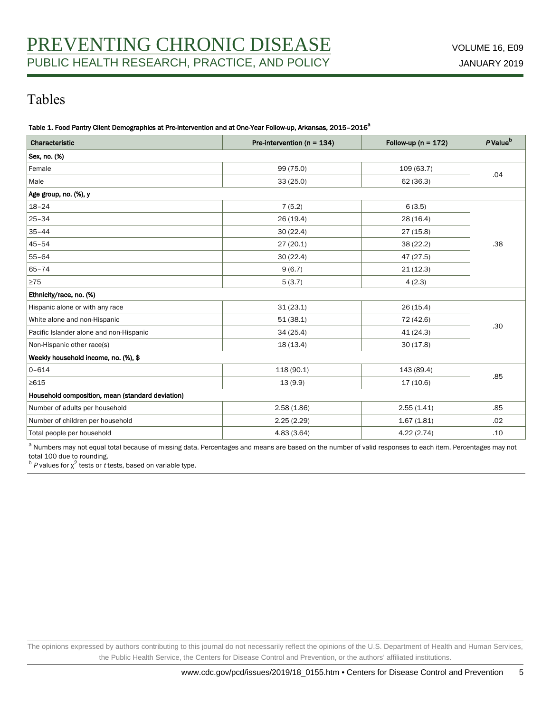# Tables

Table 1. Food Pantry Client Demographics at Pre-intervention and at One-Year Follow-up, Arkansas, 2015-2016<sup>a</sup>

| Characteristic                                   | Pre-intervention ( $n = 134$ ) | Follow-up ( $n = 172$ ) | P Value <sup>b</sup> |  |
|--------------------------------------------------|--------------------------------|-------------------------|----------------------|--|
| Sex, no. (%)                                     |                                |                         |                      |  |
| Female                                           | 99 (75.0)                      | 109 (63.7)              | .04                  |  |
| Male                                             | 33(25.0)                       | 62 (36.3)               |                      |  |
| Age group, no. (%), y                            |                                |                         |                      |  |
| $18 - 24$                                        | 7(5.2)                         | 6(3.5)                  |                      |  |
| $25 - 34$                                        | 26(19.4)                       | 28 (16.4)               |                      |  |
| $35 - 44$                                        | 30(22.4)                       | 27(15.8)                |                      |  |
| $45 - 54$                                        | 27(20.1)                       | 38 (22.2)               | .38                  |  |
| $55 - 64$                                        | 30(22.4)                       | 47 (27.5)               |                      |  |
| $65 - 74$                                        | 9(6.7)                         | 21(12.3)                |                      |  |
| 275                                              | 5(3.7)                         | 4(2.3)                  |                      |  |
| Ethnicity/race, no. (%)                          |                                |                         |                      |  |
| Hispanic alone or with any race                  | 31(23.1)                       | 26(15.4)                |                      |  |
| White alone and non-Hispanic                     | 51(38.1)                       | 72 (42.6)               | .30                  |  |
| Pacific Islander alone and non-Hispanic          | 34(25.4)                       | 41 (24.3)               |                      |  |
| Non-Hispanic other race(s)                       | 18 (13.4)                      | 30(17.8)                |                      |  |
| Weekly household income, no. (%), \$             |                                |                         |                      |  |
| $0 - 614$                                        | 118 (90.1)                     | 143 (89.4)              | .85                  |  |
| $\geq 615$                                       | 13(9.9)                        | 17(10.6)                |                      |  |
| Household composition, mean (standard deviation) |                                |                         |                      |  |
| Number of adults per household                   | 2.58(1.86)                     | 2.55(1.41)              | .85                  |  |
| Number of children per household                 | 2.25(2.29)                     | 1.67(1.81)              | .02                  |  |
| Total people per household                       | 4.83(3.64)                     | 4.22(2.74)              | .10                  |  |

<sup>a</sup> Numbers may not equal total because of missing data. Percentages and means are based on the number of valid responses to each item. Percentages may not

total 100 due to rounding.<br><sup>b</sup> *P* values for χ<sup>2</sup> tests or *t* tests, based on variable type.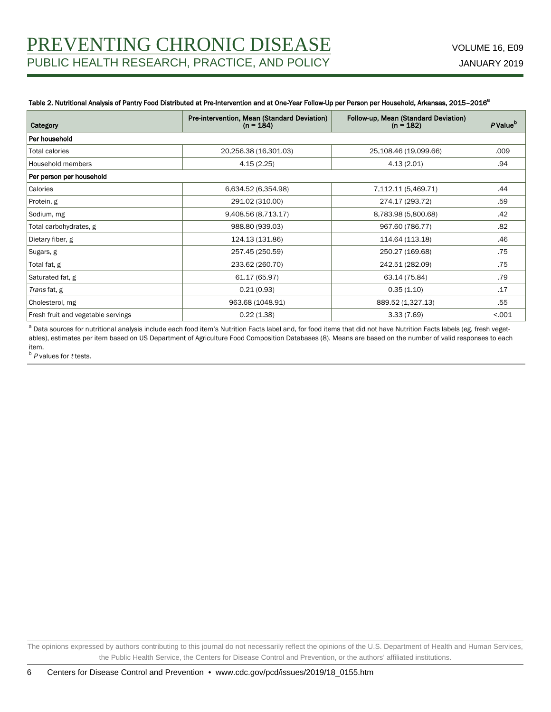### Table 2. Nutritional Analysis of Pantry Food Distributed at Pre-Intervention and at One-Year Follow-Up per Person per Household, Arkansas, 2015-2016<sup>a</sup>

| Category                           | Pre-intervention, Mean (Standard Deviation)<br>$(n = 184)$ | Follow-up, Mean (Standard Deviation)<br>$(n = 182)$ | P Value <sup>b</sup> |  |  |  |
|------------------------------------|------------------------------------------------------------|-----------------------------------------------------|----------------------|--|--|--|
| Per household                      |                                                            |                                                     |                      |  |  |  |
| Total calories                     | 20,256.38 (16,301.03)                                      | 25,108.46 (19,099.66)                               | .009                 |  |  |  |
| Household members                  | 4.15(2.25)                                                 | 4.13(2.01)                                          | .94                  |  |  |  |
| Per person per household           |                                                            |                                                     |                      |  |  |  |
| Calories                           | 6,634.52 (6,354.98)                                        | 7,112.11 (5,469.71)                                 | .44                  |  |  |  |
| Protein, g                         | 291.02 (310.00)                                            | 274.17 (293.72)                                     | .59                  |  |  |  |
| Sodium, mg                         | 9,408.56 (8,713.17)                                        | 8,783.98 (5,800.68)                                 | .42                  |  |  |  |
| Total carbohydrates, g             | 988.80 (939.03)                                            | 967.60 (786.77)                                     | .82                  |  |  |  |
| Dietary fiber, g                   | 124.13 (131.86)                                            | 114.64 (113.18)                                     | .46                  |  |  |  |
| Sugars, g                          | 257.45 (250.59)                                            | 250.27 (169.68)                                     | .75                  |  |  |  |
| Total fat, g                       | 233.62 (260.70)                                            | 242.51 (282.09)                                     | .75                  |  |  |  |
| Saturated fat, g                   | 61.17 (65.97)                                              | 63.14 (75.84)                                       | .79                  |  |  |  |
| Trans fat, g                       | 0.21(0.93)                                                 | 0.35(1.10)                                          | .17                  |  |  |  |
| Cholesterol, mg                    | 963.68 (1048.91)                                           | 889.52 (1,327.13)                                   | .55                  |  |  |  |
| Fresh fruit and vegetable servings | 0.22(1.38)                                                 | 3.33(7.69)                                          | < .001               |  |  |  |

<sup>a</sup> Data sources for nutritional analysis include each food item's Nutrition Facts label and, for food items that did not have Nutrition Facts labels (eg, fresh vegetables), estimates per item based on US Department of Agriculture Food Composition Databases (8). Means are based on the number of valid responses to each item.

 $b$   $P$  values for  $t$  tests.